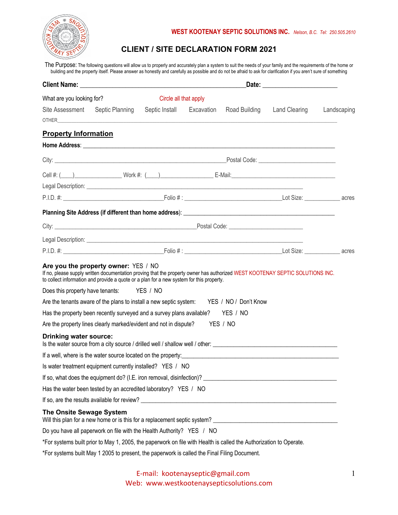

## **CLIENT / SITE DECLARATION FORM 2021**

The Purpose: The following questions will allow us to properly and accurately plan a system to suit the needs of your family and the requirements of the home or building and the property itself. Please answer as honestly and carefully as possible and do not be afraid to ask for clarification if you aren't sure of something

| What are you looking for?       |                                                                                                                                                                                                                                                                   | Circle all that apply     |  |                      |                      |             |  |
|---------------------------------|-------------------------------------------------------------------------------------------------------------------------------------------------------------------------------------------------------------------------------------------------------------------|---------------------------|--|----------------------|----------------------|-------------|--|
| Site Assessment                 | Septic Planning                                                                                                                                                                                                                                                   | Septic Install Excavation |  | Road Building        | <b>Land Clearing</b> | Landscaping |  |
| <b>Property Information</b>     |                                                                                                                                                                                                                                                                   |                           |  |                      |                      |             |  |
|                                 |                                                                                                                                                                                                                                                                   |                           |  |                      |                      |             |  |
|                                 |                                                                                                                                                                                                                                                                   |                           |  |                      |                      |             |  |
|                                 |                                                                                                                                                                                                                                                                   |                           |  |                      |                      |             |  |
|                                 |                                                                                                                                                                                                                                                                   |                           |  |                      |                      |             |  |
|                                 |                                                                                                                                                                                                                                                                   |                           |  |                      |                      |             |  |
|                                 |                                                                                                                                                                                                                                                                   |                           |  |                      |                      |             |  |
|                                 |                                                                                                                                                                                                                                                                   |                           |  |                      |                      |             |  |
|                                 |                                                                                                                                                                                                                                                                   |                           |  |                      |                      |             |  |
|                                 | Legal Description: <u>example and the contract of the contract of the contract of the contract of the contract of</u><br>P.I.D. #: Lot Size: example are acres are set of the Folio #: Lot Size: example acres acres                                              |                           |  |                      |                      |             |  |
|                                 | Are you the property owner: YES / NO<br>If no, please supply written documentation proving that the property owner has authorized WEST KOOTENAY SEPTIC SOLUTIONS INC.<br>to collect information and provide a quote or a plan for a new system for this property. |                           |  |                      |                      |             |  |
|                                 | Does this property have tenants: YES / NO                                                                                                                                                                                                                         |                           |  |                      |                      |             |  |
|                                 | Are the tenants aware of the plans to install a new septic system: YES / NO / Don't Know                                                                                                                                                                          |                           |  |                      |                      |             |  |
|                                 | Has the property been recently surveyed and a survey plans available?<br>Are the property lines clearly marked/evident and not in dispute?                                                                                                                        |                           |  | YES / NO<br>YES / NO |                      |             |  |
| <b>Drinking water source:</b>   |                                                                                                                                                                                                                                                                   |                           |  |                      |                      |             |  |
|                                 | If a well, where is the water source located on the property:                                                                                                                                                                                                     |                           |  |                      |                      |             |  |
|                                 | Is water treatment equipment currently installed? YES / NO                                                                                                                                                                                                        |                           |  |                      |                      |             |  |
|                                 | If so, what does the equipment do? (I.E. iron removal, disinfection)? [16] The content of the equipment do? (I.E. iron removal, disinfection)? [16] The content of the state of the state of the state of the state of the sta                                    |                           |  |                      |                      |             |  |
|                                 | Has the water been tested by an accredited laboratory? YES / NO                                                                                                                                                                                                   |                           |  |                      |                      |             |  |
|                                 |                                                                                                                                                                                                                                                                   |                           |  |                      |                      |             |  |
| <b>The Onsite Sewage System</b> |                                                                                                                                                                                                                                                                   |                           |  |                      |                      |             |  |
|                                 | Do you have all paperwork on file with the Health Authority? YES / NO                                                                                                                                                                                             |                           |  |                      |                      |             |  |
|                                 | *For systems built prior to May 1, 2005, the paperwork on file with Health is called the Authorization to Operate.                                                                                                                                                |                           |  |                      |                      |             |  |
|                                 | *For systems built May 1 2005 to present, the paperwork is called the Final Filing Document.                                                                                                                                                                      |                           |  |                      |                      |             |  |